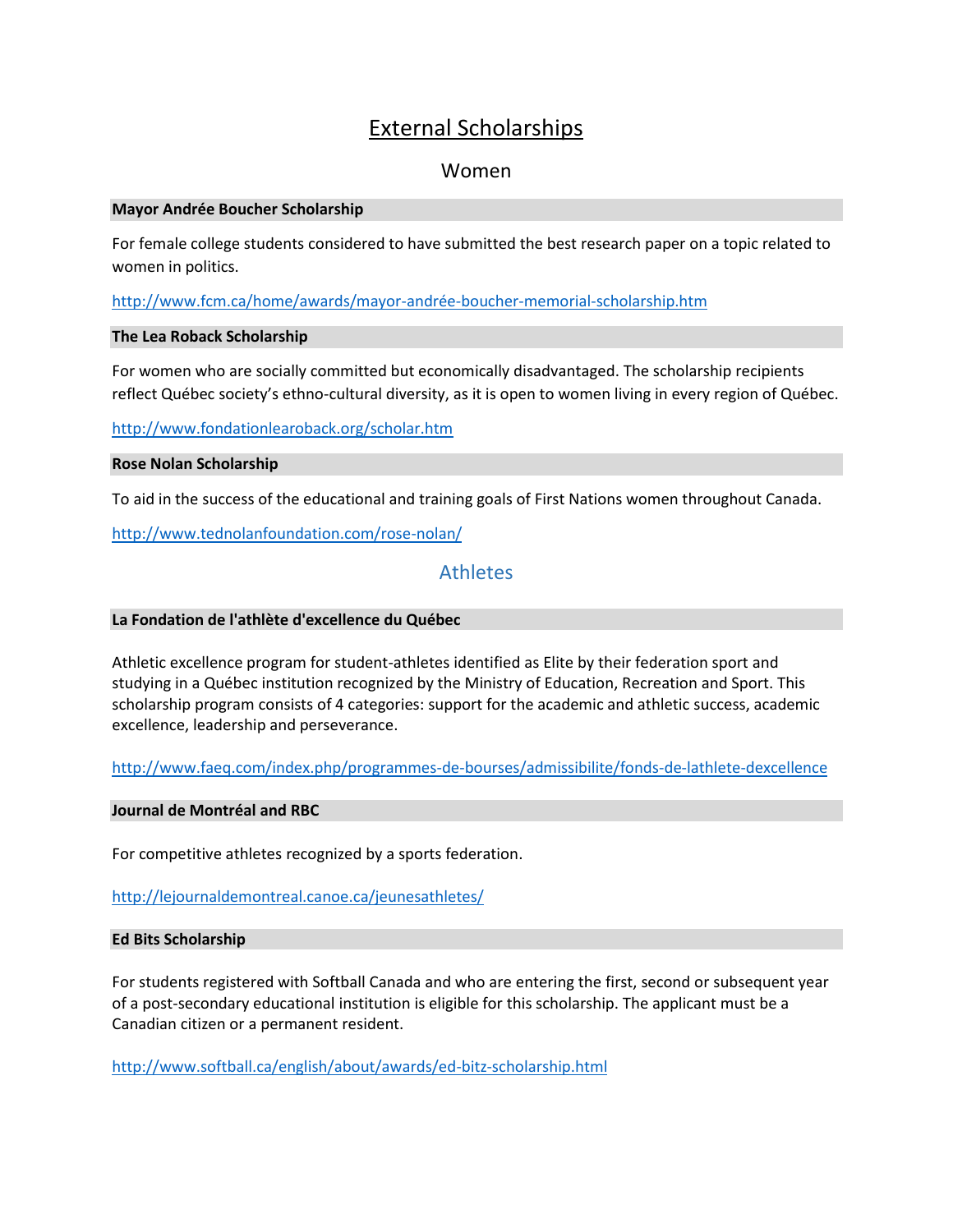# External Scholarships

# Women

#### **Mayor Andrée Boucher Scholarship**

For female college students considered to have submitted the best research paper on a topic related to women in politics.

<http://www.fcm.ca/home/awards/mayor-andrée-boucher-memorial-scholarship.htm>

## **The Lea Roback Scholarship**

For women who are socially committed but economically disadvantaged. The scholarship recipients reflect Québec society's ethno-cultural diversity, as it is open to women living in every region of Québec.

<http://www.fondationlearoback.org/scholar.htm>

## **Rose Nolan Scholarship**

To aid in the success of the educational and training goals of First Nations women throughout Canada.

<http://www.tednolanfoundation.com/rose-nolan/>

# **Athletes**

# **La Fondation de l'athlète d'excellence du Québec**

Athletic excellence program for student-athletes identified as Elite by their federation sport and studying in a Québec institution recognized by the Ministry of Education, Recreation and Sport. This scholarship program consists of 4 categories: support for the academic and athletic success, academic excellence, leadership and perseverance.

<http://www.faeq.com/index.php/programmes-de-bourses/admissibilite/fonds-de-lathlete-dexcellence>

#### **Journal de Montréal and RBC**

For competitive athletes recognized by a sports federation.

<http://lejournaldemontreal.canoe.ca/jeunesathletes/>

#### **Ed Bits Scholarship**

For students registered with Softball Canada and who are entering the first, second or subsequent year of a post-secondary educational institution is eligible for this scholarship. The applicant must be a Canadian citizen or a permanent resident.

<http://www.softball.ca/english/about/awards/ed-bitz-scholarship.html>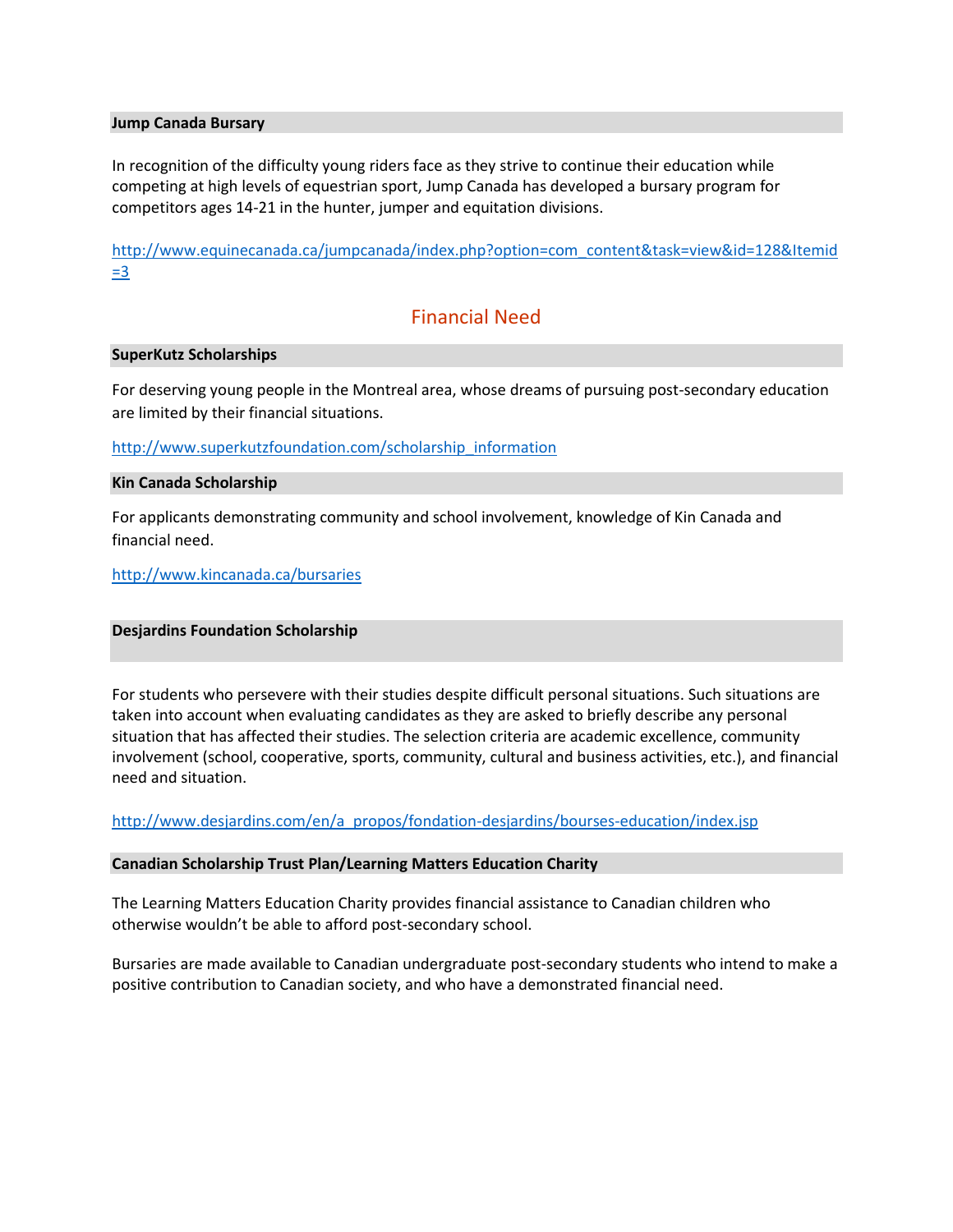#### **Jump Canada Bursary**

In recognition of the difficulty young riders face as they strive to continue their education while competing at high levels of equestrian sport, Jump Canada has developed a bursary program for competitors ages 14-21 in the hunter, jumper and equitation divisions.

[http://www.equinecanada.ca/jumpcanada/index.php?option=com\\_content&task=view&id=128&Itemid](http://www.equinecanada.ca/jumpcanada/index.php?option=com_content&task=view&id=128&Itemid=3) [=3](http://www.equinecanada.ca/jumpcanada/index.php?option=com_content&task=view&id=128&Itemid=3)

# Financial Need

#### **SuperKutz Scholarships**

For deserving young people in the Montreal area, whose dreams of pursuing post-secondary education are limited by their financial situations.

[http://www.superkutzfoundation.com/scholarship\\_information](http://www.superkutzfoundation.com/scholarship_information)

#### **Kin Canada Scholarship**

For applicants demonstrating community and school involvement, knowledge of Kin Canada and financial need.

<http://www.kincanada.ca/bursaries>

#### **Desjardins Foundation Scholarship**

For students who persevere with their studies despite difficult personal situations. Such situations are taken into account when evaluating candidates as they are asked to briefly describe any personal situation that has affected their studies. The selection criteria are academic excellence, community involvement (school, cooperative, sports, community, cultural and business activities, etc.), and financial need and situation.

[http://www.desjardins.com/en/a\\_propos/fondation-desjardins/bourses-education/index.jsp](http://www.desjardins.com/en/a_propos/fondation-desjardins/bourses-education/index.jsp)

## **Canadian Scholarship Trust Plan/Learning Matters Education Charity**

The Learning Matters Education Charity provides financial assistance to Canadian children who otherwise wouldn't be able to afford post-secondary school.

Bursaries are made available to Canadian undergraduate post-secondary students who intend to make a positive contribution to Canadian society, and who have a demonstrated financial need.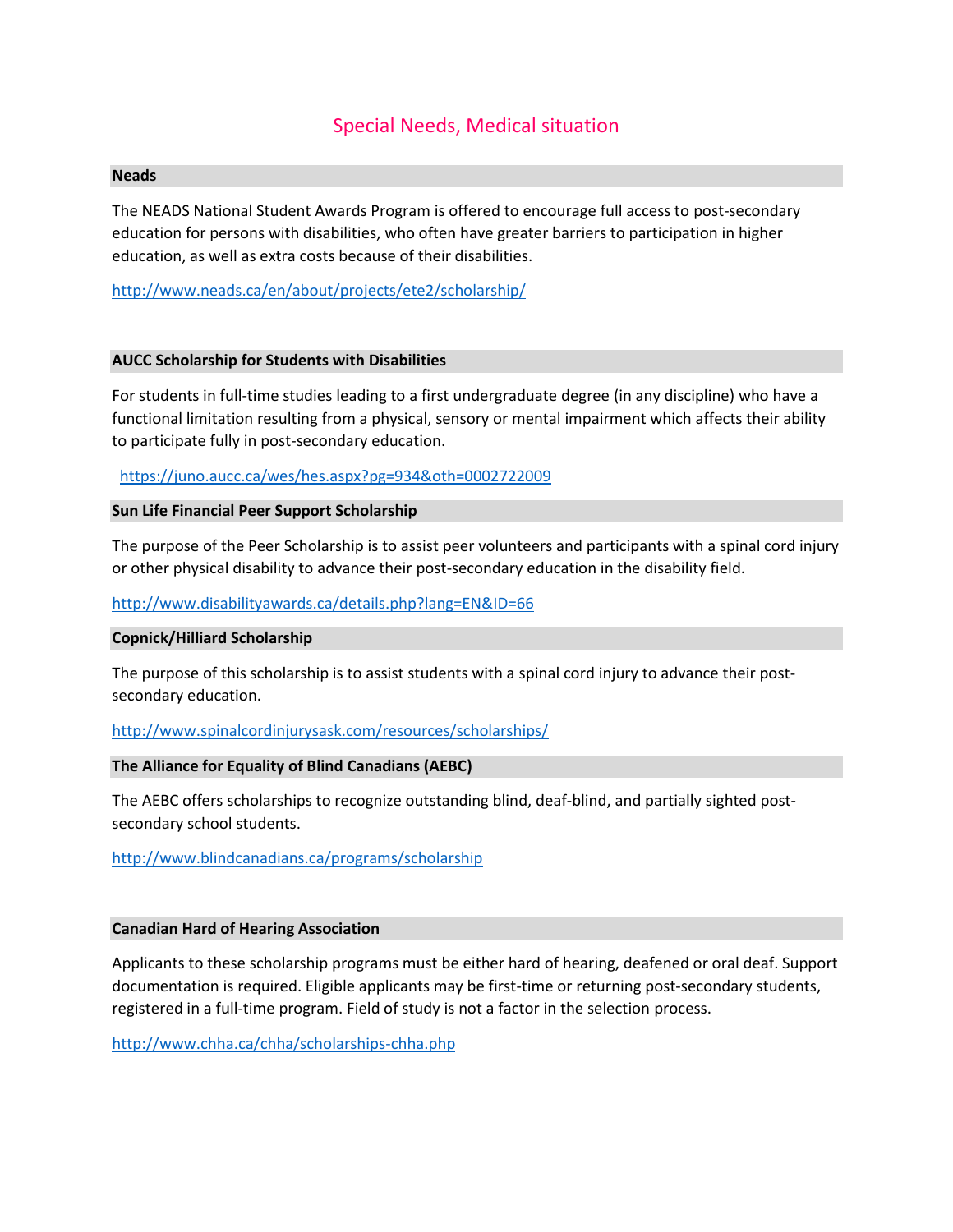# Special Needs, Medical situation

#### **Neads**

The NEADS National Student Awards Program is offered to encourage full access to post-secondary education for persons with disabilities, who often have greater barriers to participation in higher education, as well as extra costs because of their disabilities.

<http://www.neads.ca/en/about/projects/ete2/scholarship/>

#### **AUCC Scholarship for Students with Disabilities**

For students in full-time studies leading to a first undergraduate degree (in any discipline) who have a functional limitation resulting from a physical, sensory or mental impairment which affects their ability to participate fully in post-secondary education.

<https://juno.aucc.ca/wes/hes.aspx?pg=934&oth=0002722009>

#### **Sun Life Financial Peer Support Scholarship**

The purpose of the Peer Scholarship is to assist peer volunteers and participants with a spinal cord injury or other physical disability to advance their post-secondary education in the disability field.

<http://www.disabilityawards.ca/details.php?lang=EN&ID=66>

#### **Copnick/Hilliard Scholarship**

The purpose of this scholarship is to assist students with a spinal cord injury to advance their postsecondary education.

<http://www.spinalcordinjurysask.com/resources/scholarships/>

#### **The Alliance for Equality of Blind Canadians (AEBC)**

The AEBC offers scholarships to recognize outstanding blind, deaf-blind, and partially sighted postsecondary school students.

<http://www.blindcanadians.ca/programs/scholarship>

#### **Canadian Hard of Hearing Association**

Applicants to these scholarship programs must be either hard of hearing, deafened or oral deaf. Support documentation is required. Eligible applicants may be first-time or returning post-secondary students, registered in a full-time program. Field of study is not a factor in the selection process.

<http://www.chha.ca/chha/scholarships-chha.php>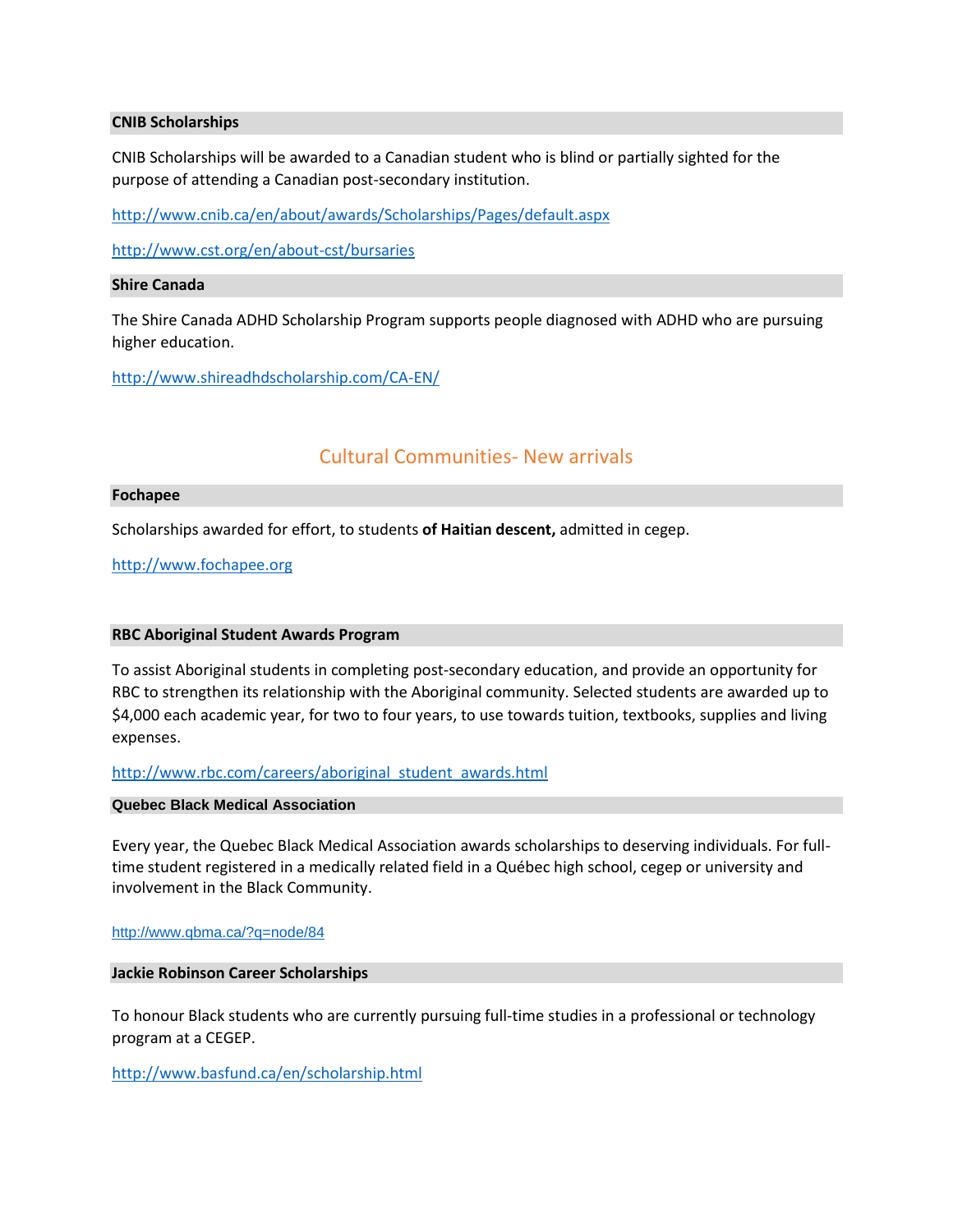#### **[CNIB Scholarships](http://www.cnib.ca/en/about/awards/Scholarships/Pages/CNIB_Scholarships.aspx)**

CNIB Scholarships will be awarded to a Canadian student who is blind or partially sighted for the purpose of attending a Canadian post-secondary institution.

<http://www.cnib.ca/en/about/awards/Scholarships/Pages/default.aspx>

<http://www.cst.org/en/about-cst/bursaries>

#### **Shire Canada**

The Shire Canada ADHD Scholarship Program supports people diagnosed with ADHD who are pursuing higher education.

<http://www.shireadhdscholarship.com/CA-EN/>

# Cultural Communities- New arrivals

#### **Fochapee**

Scholarships awarded for effort, to students **of Haitian descent,** admitted in cegep.

[http://www.fochapee.org](http://www.fochapee.org/)

#### **RBC Aboriginal Student Awards Program**

To assist Aboriginal students in completing post-secondary education, and provide an opportunity for RBC to strengthen its relationship with the Aboriginal community. Selected students are awarded up to \$4,000 each academic year, for two to four years, to use towards tuition, textbooks, supplies and living expenses.

[http://www.rbc.com/careers/aboriginal\\_student\\_awards.html](http://www.rbc.com/careers/aboriginal_student_awards.html)

#### **Quebec Black Medical Association**

Every year, the Quebec Black Medical Association awards scholarships to deserving individuals. For fulltime student registered in a medically related field in a Québec high school, cegep or university and involvement in the Black Community.

#### <http://www.qbma.ca/?q=node/84>

#### **Jackie Robinson Career Scholarships**

To honour Black students who are currently pursuing full-time studies in a professional or technology program at a CEGEP.

<http://www.basfund.ca/en/scholarship.html>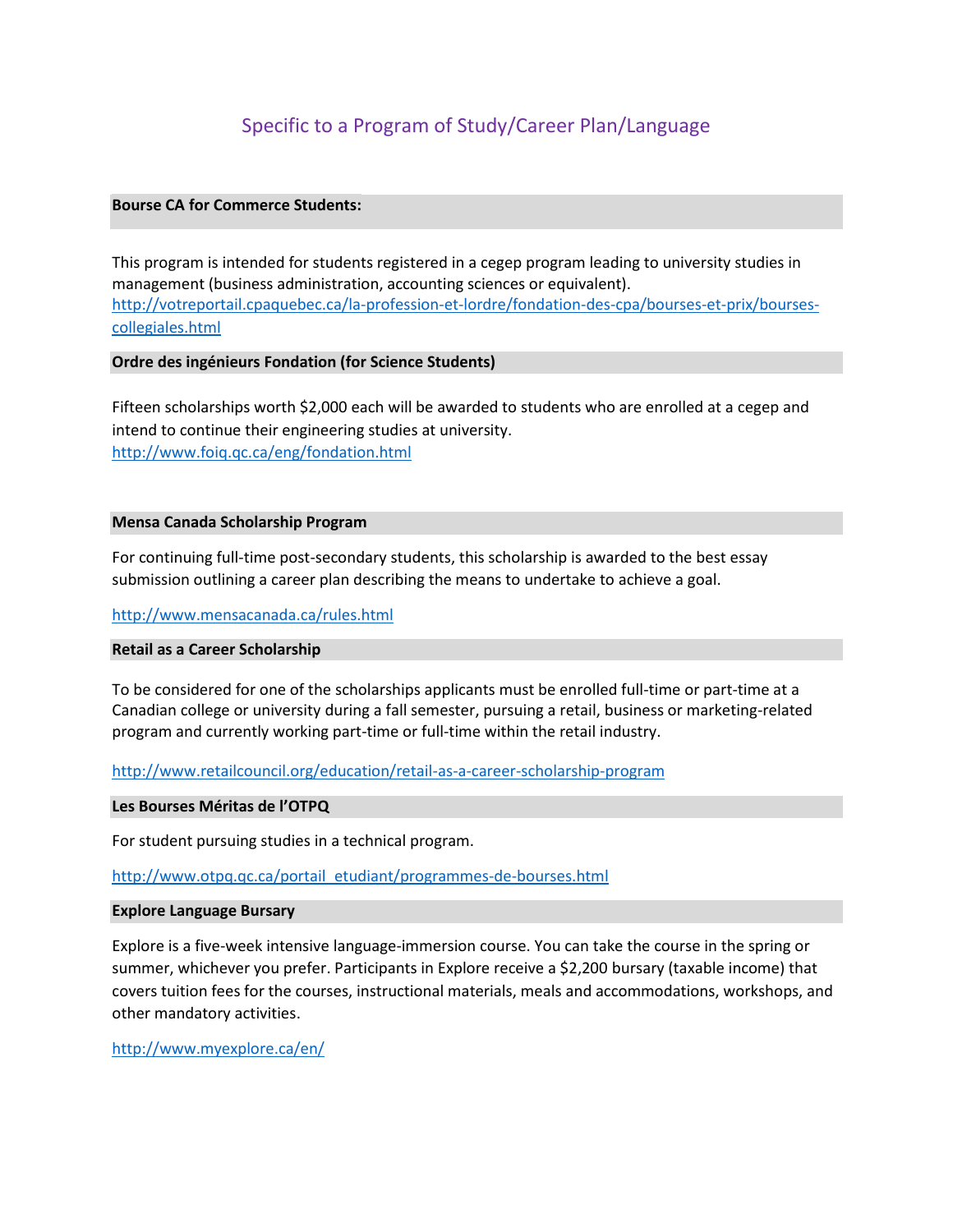# Specific to a Program of Study/Career Plan/Language

# **Bourse CA for Commerce Students:**

This program is intended for students registered in a cegep program leading to university studies in management (business administration, accounting sciences or equivalent). [http://votreportail.cpaquebec.ca/la-profession-et-lordre/fondation-des-cpa/bourses-et-prix/bourses](http://votreportail.cpaquebec.ca/la-profession-et-lordre/fondation-des-cpa/bourses-et-prix/bourses-collegiales.html)[collegiales.html](http://votreportail.cpaquebec.ca/la-profession-et-lordre/fondation-des-cpa/bourses-et-prix/bourses-collegiales.html)

#### **Ordre des ingénieurs Fondation (for Science Students)**

Fifteen scholarships worth \$2,000 each will be awarded to students who are enrolled at a cegep and intend to continue their engineering studies at university. <http://www.foiq.qc.ca/eng/fondation.html>

#### **Mensa Canada Scholarship Program**

For continuing full-time post-secondary students, this scholarship is awarded to the best essay submission outlining a career plan describing the means to undertake to achieve a goal.

#### <http://www.mensacanada.ca/rules.html>

## **Retail as a Career Scholarship**

To be considered for one of the scholarships applicants must be enrolled full-time or part-time at a Canadian college or university during a fall semester, pursuing a retail, business or marketing-related program and currently working part-time or full-time within the retail industry.

#### <http://www.retailcouncil.org/education/retail-as-a-career-scholarship-program>

#### **Les Bourses Méritas de l'OTPQ**

For student pursuing studies in a technical program.

[http://www.otpq.qc.ca/portail\\_etudiant/programmes-de-bourses.html](http://www.otpq.qc.ca/portail_etudiant/programmes-de-bourses.html)

#### **Explore Language Bursary**

Explore is a five-week intensive language-immersion course. You can take the course in the spring or summer, whichever you prefer. Participants in Explore receive a \$2,200 bursary (taxable income) that covers tuition fees for the courses, instructional materials, meals and accommodations, workshops, and other mandatory activities.

<http://www.myexplore.ca/en/>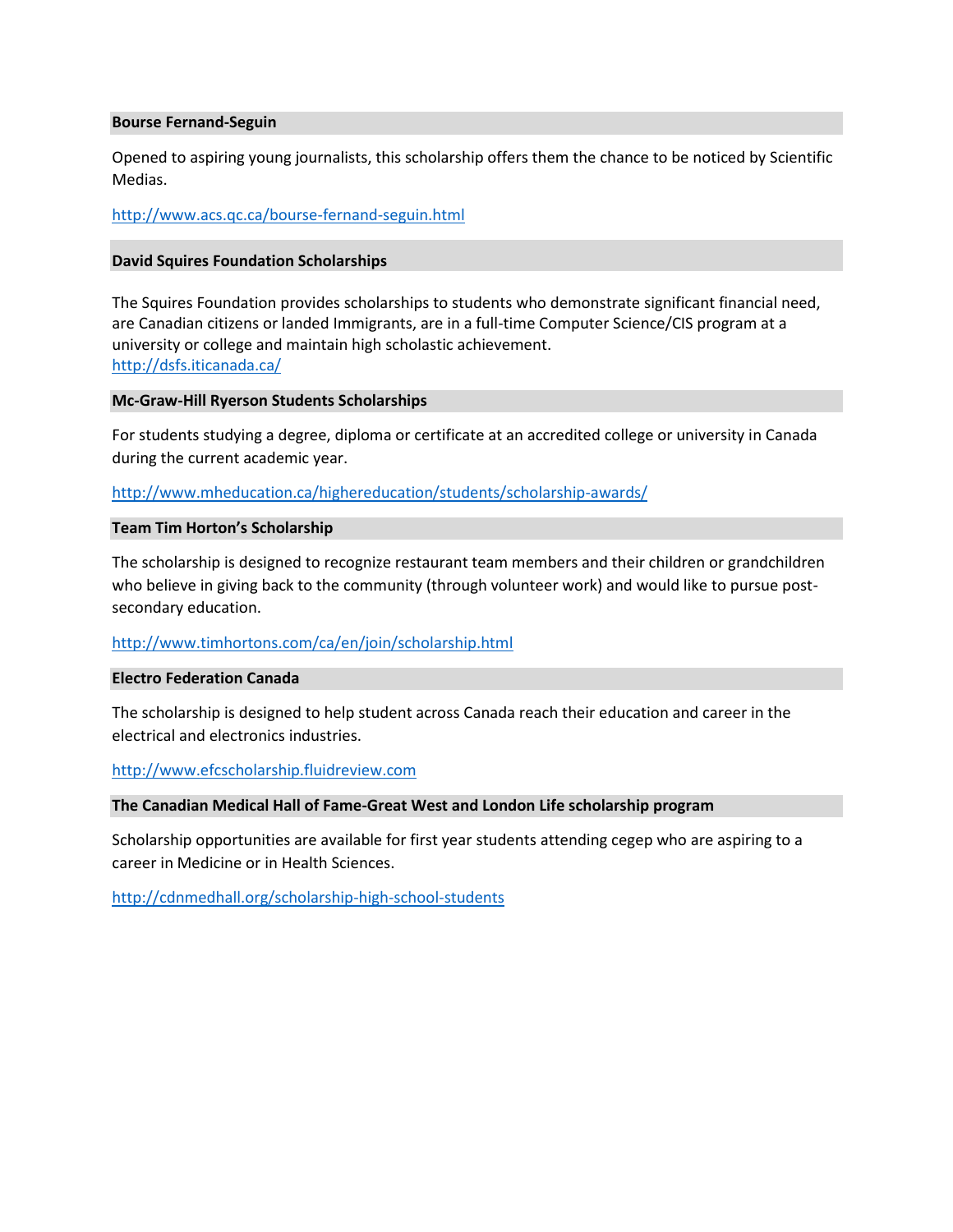#### **Bourse Fernand-Seguin**

Opened to aspiring young journalists, this scholarship offers them the chance to be noticed by Scientific Medias.

<http://www.acs.qc.ca/bourse-fernand-seguin.html>

## **David Squires Foundation Scholarships**

The Squires Foundation provides scholarships to students who demonstrate significant financial need, are Canadian citizens or landed Immigrants, are in a full-time Computer Science/CIS program at a university or college and maintain high scholastic achievement. <http://dsfs.iticanada.ca/>

#### **Mc-Graw-Hill Ryerson Students Scholarships**

For students studying a degree, diploma or certificate at an accredited college or university in Canada during the current academic year.

<http://www.mheducation.ca/highereducation/students/scholarship-awards/>

## **Team Tim Horton's Scholarship**

The scholarship is designed to recognize restaurant team members and their children or grandchildren who believe in giving back to the community (through volunteer work) and would like to pursue postsecondary education.

# <http://www.timhortons.com/ca/en/join/scholarship.html>

#### **Electro Federation Canada**

The scholarship is designed to help student across Canada reach their education and career in the electrical and electronics industries.

#### [http://www.efcscholarship.fluidreview.com](http://www.efcscholarship.fluidreview.com/)

#### **The Canadian Medical Hall of Fame-Great West and London Life scholarship program**

Scholarship opportunities are available for first year students attending cegep who are aspiring to a career in Medicine or in Health Sciences.

<http://cdnmedhall.org/scholarship-high-school-students>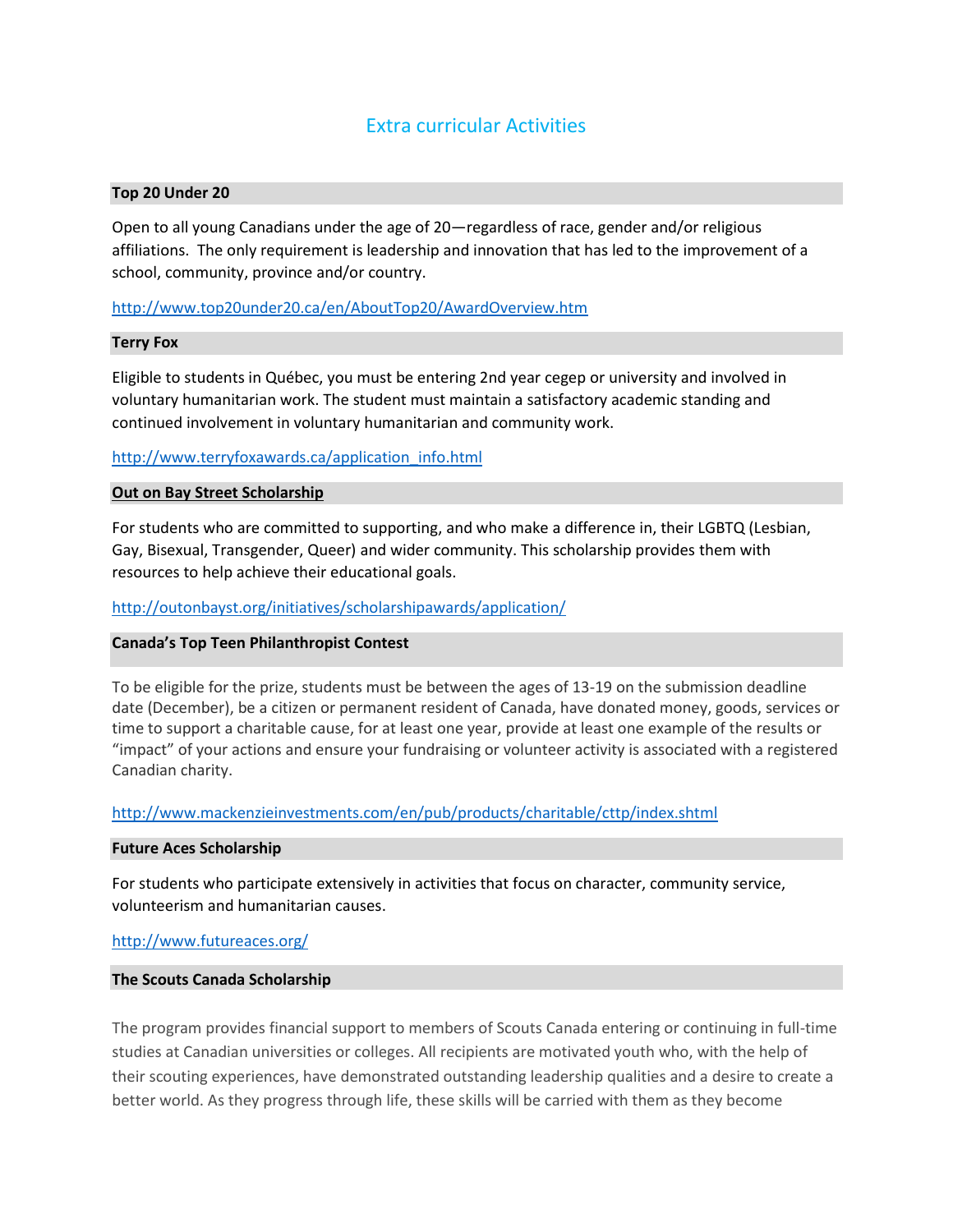# Extra curricular Activities

#### **Top 20 Under 20**

Open to all young Canadians under the age of 20—regardless of race, gender and/or religious affiliations. The only requirement is leadership and innovation that has led to the improvement of a school, community, province and/or country.

## <http://www.top20under20.ca/en/AboutTop20/AwardOverview.htm>

#### **Terry Fox**

Eligible to students in Québec, you must be entering 2nd year cegep or university and involved in voluntary humanitarian work. The student must maintain a satisfactory academic standing and continued involvement in voluntary humanitarian and community work.

# [http://www.terryfoxawards.ca/application\\_info.html](http://www.terryfoxawards.ca/application_info.html)

## **Out on Bay Street Scholarship**

For students who are committed to supporting, and who make a difference in, their LGBTQ (Lesbian, Gay, Bisexual, Transgender, Queer) and wider community. This scholarship provides them with resources to help achieve their educational goals.

<http://outonbayst.org/initiatives/scholarshipawards/application/>

#### **Canada's Top Teen Philanthropist Contest**

To be eligible for the prize, students must be between the ages of 13-19 on the submission deadline date (December), be a citizen or permanent resident of Canada, have donated money, goods, services or time to support a charitable cause, for at least one year, provide at least one example of the results or "impact" of your actions and ensure your fundraising or volunteer activity is associated with a registered Canadian charity.

#### <http://www.mackenzieinvestments.com/en/pub/products/charitable/cttp/index.shtml>

#### **Future Aces Scholarship**

For students who participate extensively in activities that focus on character, community service, volunteerism and humanitarian causes.

#### <http://www.futureaces.org/>

#### **The Scouts Canada Scholarship**

The program provides financial support to members of Scouts Canada entering or continuing in full-time studies at Canadian universities or colleges. All recipients are motivated youth who, with the help of their scouting experiences, have demonstrated outstanding leadership qualities and a desire to create a better world. As they progress through life, these skills will be carried with them as they become